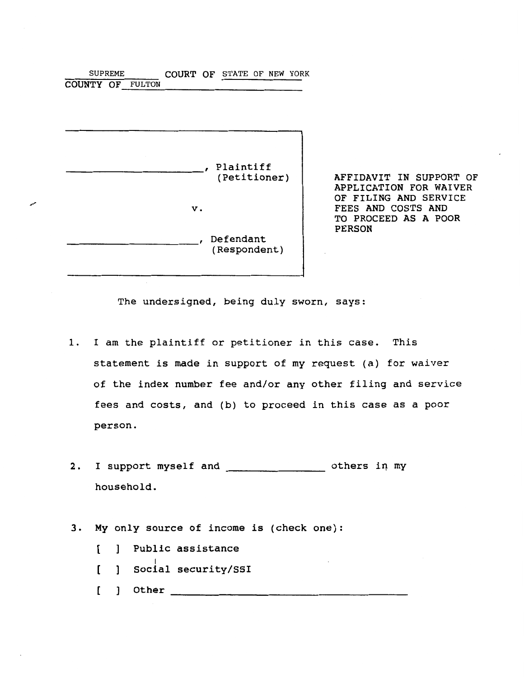| <b>SUPREME</b>          | COURT OF STATE OF NEW YORK |    |              |  |  |
|-------------------------|----------------------------|----|--------------|--|--|
| <b>COUNTY OF FULTON</b> |                            |    |              |  |  |
|                         |                            |    |              |  |  |
|                         |                            |    |              |  |  |
|                         |                            |    |              |  |  |
|                         |                            |    |              |  |  |
|                         |                            |    |              |  |  |
|                         |                            |    |              |  |  |
|                         |                            |    | , Plaintiff  |  |  |
|                         |                            |    | (Petitioner) |  |  |
|                         |                            |    |              |  |  |
|                         |                            | v. |              |  |  |
|                         |                            |    |              |  |  |
|                         |                            |    |              |  |  |
|                         |                            |    | Defendant    |  |  |
|                         |                            |    | (Respondent) |  |  |
|                         |                            |    |              |  |  |
|                         |                            |    |              |  |  |

AFFIDAVIT IN SUPPORT OF APPLICATION FOR WAIVER OF FILING AND SERVICE FEES AND COSTS AND TO PROCEED AS A POOR PERSON

The undersigned, being duly sworn, says:

- 1. I am the plaintiff or petitioner in this case. This statement is made in support of my request (a) for waiver of the index number fee and/or any other filing and service fees and costs, and (b) to proceed in this case as a poor person.
- 2. I support myself and others in my household.
- 3. My only source of income is (check one):
	- [ ] Public assistance
	- l Social security/SSI
	- [ ] Other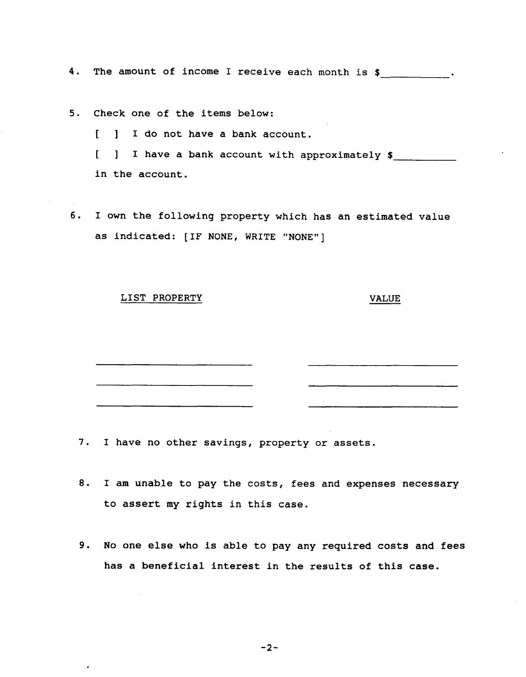4. The amount of income I receive each month is \$

5. Check one of the items below:

[ ] I do not have a bank account.

[ ] I have a bank account with approximately \$

in the account.

6. I own the following property which has an estimated value as indicated: [IF NONE, WRITE "NONE"]

## LIST PROPERTY VALUE

7. I have no other savings, property or assets.

- 8. I am unable to pay the costs, fees and expenses necessary to assert my rights in this case.
- 9. No one else who is able to pay any required costs and fees has a beneficial interest in the results of this case.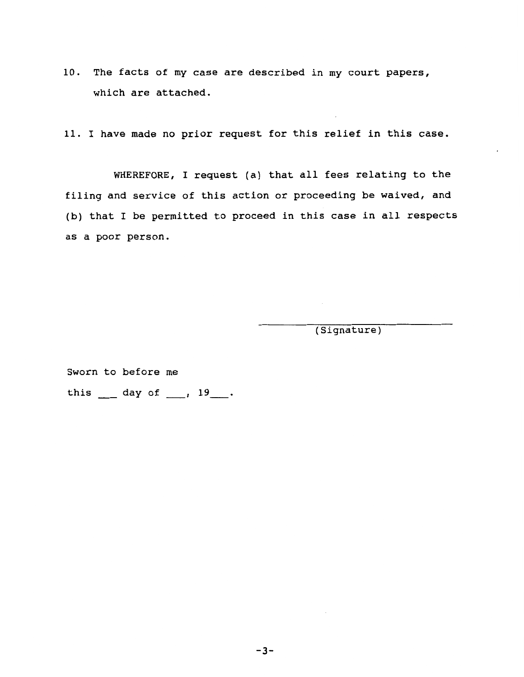**10.** The facts of my case are described in my court papers, which are attached.

11. I have made no prior request for this relief in this case.

WHEREFORE, I request (a) that all fees relating to the filing and service of this action or proceeding be waived, and (b) that I be permitted to proceed in this case in all respects as a poor person.

(Signature)

Sworn to before me this \_\_\_ day of \_\_\_, 19\_\_\_.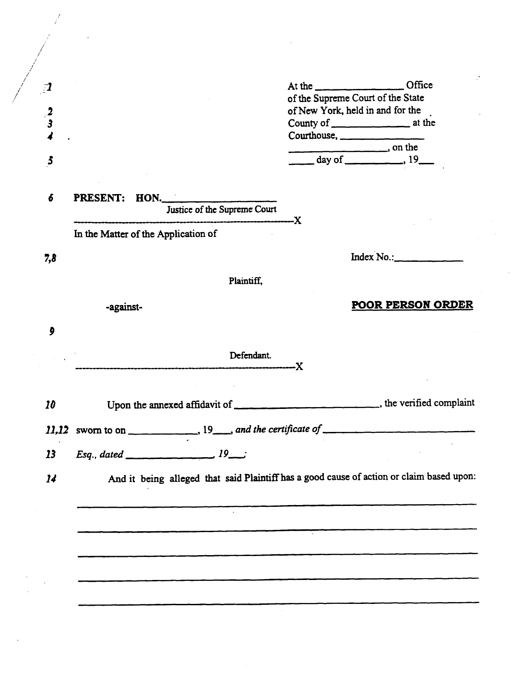| - 1                   |                                     | At the CHITECH CHITECH CHITECH CHITECH CHITECH CHITECH CHITECH CHITECH CHITECH CHITECH CHITECH CHITECH CHITECH |
|-----------------------|-------------------------------------|----------------------------------------------------------------------------------------------------------------|
|                       |                                     | of the Supreme Court of the State                                                                              |
| $\frac{2}{3}$         |                                     | of New York, held in and for the                                                                               |
|                       |                                     |                                                                                                                |
|                       |                                     | Courthouse,                                                                                                    |
|                       |                                     |                                                                                                                |
| $\boldsymbol{5}$      |                                     |                                                                                                                |
| $\boldsymbol{6}$      | PRESENT: HON.                       |                                                                                                                |
|                       | Justice of the Supreme Court        |                                                                                                                |
|                       |                                     | ----------X                                                                                                    |
|                       | In the Matter of the Application of |                                                                                                                |
| 7,8                   |                                     | Index No.                                                                                                      |
|                       | Plaintiff,                          |                                                                                                                |
|                       |                                     |                                                                                                                |
|                       | -against-                           | <b>POOR PERSON ORDER</b>                                                                                       |
| 9                     |                                     |                                                                                                                |
|                       | Defendant.<br>--------------------X |                                                                                                                |
|                       |                                     |                                                                                                                |
| 10                    |                                     | Upon the annexed affidavit of ______________________________, the verified complaint                           |
|                       |                                     |                                                                                                                |
|                       |                                     |                                                                                                                |
|                       |                                     |                                                                                                                |
|                       | $Esq., \, dated$                    |                                                                                                                |
| 13<br>$\overline{14}$ |                                     | And it being alleged that said Plaintiff has a good cause of action or claim based upon:                       |
|                       |                                     |                                                                                                                |
|                       |                                     |                                                                                                                |
|                       |                                     |                                                                                                                |
|                       |                                     |                                                                                                                |
|                       |                                     |                                                                                                                |
|                       |                                     |                                                                                                                |
|                       |                                     |                                                                                                                |
|                       |                                     |                                                                                                                |
|                       |                                     |                                                                                                                |

 $\label{eq:2.1} \frac{1}{\sqrt{2}}\left(\frac{1}{\sqrt{2}}\right)^{2} \left(\frac{1}{\sqrt{2}}\right)^{2} \left(\frac{1}{\sqrt{2}}\right)^{2} \left(\frac{1}{\sqrt{2}}\right)^{2} \left(\frac{1}{\sqrt{2}}\right)^{2} \left(\frac{1}{\sqrt{2}}\right)^{2} \left(\frac{1}{\sqrt{2}}\right)^{2} \left(\frac{1}{\sqrt{2}}\right)^{2} \left(\frac{1}{\sqrt{2}}\right)^{2} \left(\frac{1}{\sqrt{2}}\right)^{2} \left(\frac{1}{\sqrt{2}}\right)^{2} \left(\$ 

 $\sim 10^{-10}$ 

 $\label{eq:2} \frac{1}{\sqrt{2}}\sum_{i=1}^n\frac{1}{\sqrt{2}}\sum_{j=1}^n\frac{1}{j!}\sum_{j=1}^n\frac{1}{j!}\sum_{j=1}^n\frac{1}{j!}\sum_{j=1}^n\frac{1}{j!}\sum_{j=1}^n\frac{1}{j!}\sum_{j=1}^n\frac{1}{j!}\sum_{j=1}^n\frac{1}{j!}\sum_{j=1}^n\frac{1}{j!}\sum_{j=1}^n\frac{1}{j!}\sum_{j=1}^n\frac{1}{j!}\sum_{j=1}^n\frac{1}{j!}\sum_{j=1}^$